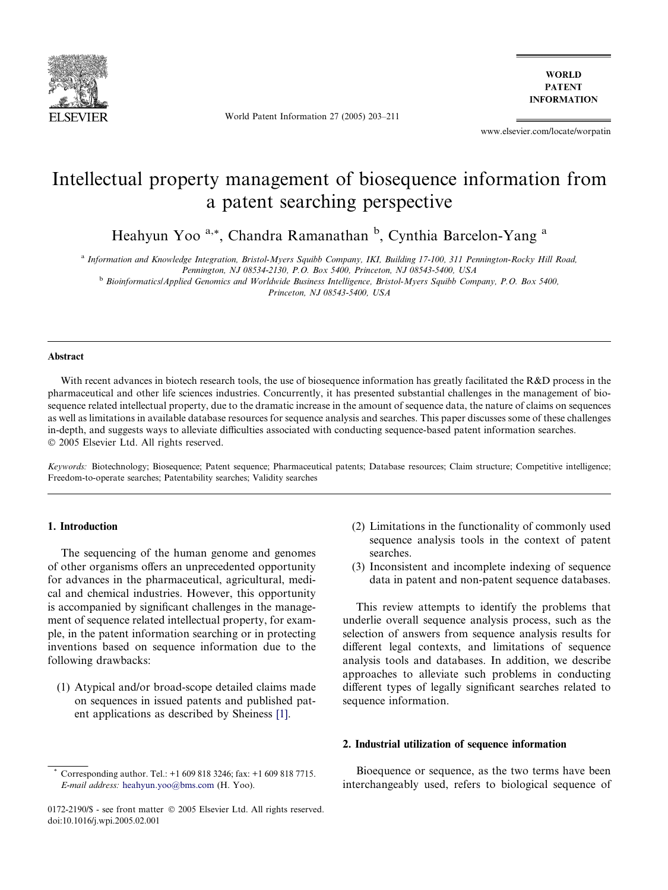

World Patent Information 27 (2005) 203–211

**WORLD PATENT INFORMATION** 

www.elsevier.com/locate/worpatin

## Intellectual property management of biosequence information from a patent searching perspective

Heahyun Yoo<sup>a,\*</sup>, Chandra Ramanathan <sup>b</sup>, Cynthia Barcelon-Yang<sup>a</sup>

<sup>a</sup> Information and Knowledge Integration, Bristol-Myers Squibb Company, IKI, Building 17-100, 311 Pennington-Rocky Hill Road,

Pennington, NJ 08534-2130, P.O. Box 5400, Princeton, NJ 08543-5400, USA

<sup>b</sup> Bioinformatics/Applied Genomics and Worldwide Business Intelligence, Bristol-Myers Squibb Company, P.O. Box 5400, Princeton, NJ 08543-5400, USA

#### **Abstract**

With recent advances in biotech research tools, the use of biosequence information has greatly facilitated the R&D process in the pharmaceutical and other life sciences industries. Concurrently, it has presented substantial challenges in the management of biosequence related intellectual property, due to the dramatic increase in the amount of sequence data, the nature of claims on sequences as well as limitations in available database resources for sequence analysis and searches. This paper discusses some of these challenges in-depth, and suggests ways to alleviate difficulties associated with conducting sequence-based patent information searches. 2005 Elsevier Ltd. All rights reserved.

Keywords: Biotechnology; Biosequence; Patent sequence; Pharmaceutical patents; Database resources; Claim structure; Competitive intelligence; Freedom-to-operate searches; Patentability searches; Validity searches

## 1. Introduction

The sequencing of the human genome and genomes of other organisms offers an unprecedented opportunity for advances in the pharmaceutical, agricultural, medical and chemical industries. However, this opportunity is accompanied by significant challenges in the management of sequence related intellectual property, for example, in the patent information searching or in protecting inventions based on sequence information due to the following drawbacks:

(1) Atypical and/or broad-scope detailed claims made on sequences in issued patents and published patent applications as described by Sheiness [\[1\].](#page--1-0)

- (2) Limitations in the functionality of commonly used sequence analysis tools in the context of patent searches.
- (3) Inconsistent and incomplete indexing of sequence data in patent and non-patent sequence databases.

This review attempts to identify the problems that underlie overall sequence analysis process, such as the selection of answers from sequence analysis results for different legal contexts, and limitations of sequence analysis tools and databases. In addition, we describe approaches to alleviate such problems in conducting different types of legally significant searches related to sequence information.

## 2. Industrial utilization of sequence information

Bioequence or sequence, as the two terms have been interchangeably used, refers to biological sequence of

Corresponding author. Tel.: +1 609 818 3246; fax: +1 609 818 7715. E-mail address: [heahyun.yoo@bms.com](mailto:heahyun.yoo@bms.com) (H. Yoo).

<sup>0172-2190/\$ -</sup> see front matter © 2005 Elsevier Ltd. All rights reserved. doi:10.1016/j.wpi.2005.02.001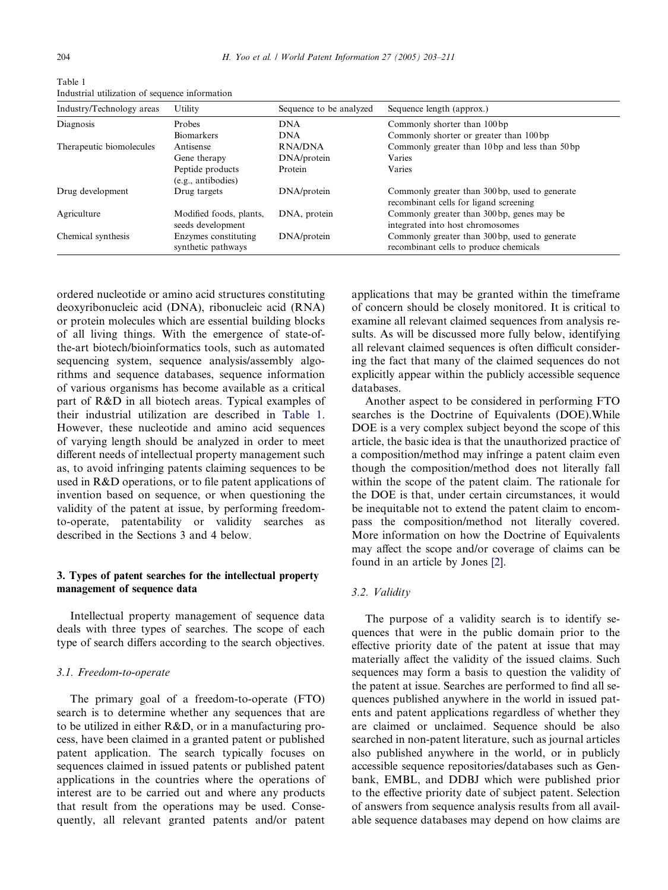| Industry/Technology areas | Utility                                    | Sequence to be analyzed | Sequence length (approx.)                                                                |
|---------------------------|--------------------------------------------|-------------------------|------------------------------------------------------------------------------------------|
| Diagnosis                 | Probes                                     | <b>DNA</b>              | Commonly shorter than 100 bp                                                             |
|                           | <b>Biomarkers</b>                          | <b>DNA</b>              | Commonly shorter or greater than 100 bp                                                  |
| Therapeutic biomolecules  | Antisense                                  | <b>RNA/DNA</b>          | Commonly greater than 10 bp and less than 50 bp                                          |
|                           | Gene therapy                               | DNA/protein             | Varies                                                                                   |
|                           | Peptide products                           | Protein                 | Varies                                                                                   |
|                           | (e.g., antibodies)                         |                         |                                                                                          |
| Drug development          | Drug targets                               | DNA/protein             | Commonly greater than 300 bp, used to generate<br>recombinant cells for ligand screening |
| Agriculture               | Modified foods, plants,                    | DNA, protein            | Commonly greater than 300 bp, genes may be                                               |
|                           | seeds development                          |                         | integrated into host chromosomes                                                         |
| Chemical synthesis        | Enzymes constituting<br>synthetic pathways | DNA/protein             | Commonly greater than 300 bp, used to generate<br>recombinant cells to produce chemicals |

Table 1 Industrial utilization of sequence information

ordered nucleotide or amino acid structures constituting deoxyribonucleic acid (DNA), ribonucleic acid (RNA) or protein molecules which are essential building blocks of all living things. With the emergence of state-ofthe-art biotech/bioinformatics tools, such as automated sequencing system, sequence analysis/assembly algorithms and sequence databases, sequence information of various organisms has become available as a critical part of R&D in all biotech areas. Typical examples of their industrial utilization are described in Table 1. However, these nucleotide and amino acid sequences of varying length should be analyzed in order to meet different needs of intellectual property management such as, to avoid infringing patents claiming sequences to be used in R&D operations, or to file patent applications of invention based on sequence, or when questioning the validity of the patent at issue, by performing freedomto-operate, patentability or validity searches as described in the Sections 3 and 4 below.

## 3. Types of patent searches for the intellectual property management of sequence data

Intellectual property management of sequence data deals with three types of searches. The scope of each type of search differs according to the search objectives.

#### 3.1. Freedom-to-operate

The primary goal of a freedom-to-operate (FTO) search is to determine whether any sequences that are to be utilized in either R&D, or in a manufacturing process, have been claimed in a granted patent or published patent application. The search typically focuses on sequences claimed in issued patents or published patent applications in the countries where the operations of interest are to be carried out and where any products that result from the operations may be used. Consequently, all relevant granted patents and/or patent

applications that may be granted within the timeframe of concern should be closely monitored. It is critical to examine all relevant claimed sequences from analysis results. As will be discussed more fully below, identifying all relevant claimed sequences is often difficult considering the fact that many of the claimed sequences do not explicitly appear within the publicly accessible sequence databases.

Another aspect to be considered in performing FTO searches is the Doctrine of Equivalents (DOE).While DOE is a very complex subject beyond the scope of this article, the basic idea is that the unauthorized practice of a composition/method may infringe a patent claim even though the composition/method does not literally fall within the scope of the patent claim. The rationale for the DOE is that, under certain circumstances, it would be inequitable not to extend the patent claim to encompass the composition/method not literally covered. More information on how the Doctrine of Equivalents may affect the scope and/or coverage of claims can be found in an article by Jones [\[2\]](#page--1-0).

## 3.2. Validity

The purpose of a validity search is to identify sequences that were in the public domain prior to the effective priority date of the patent at issue that may materially affect the validity of the issued claims. Such sequences may form a basis to question the validity of the patent at issue. Searches are performed to find all sequences published anywhere in the world in issued patents and patent applications regardless of whether they are claimed or unclaimed. Sequence should be also searched in non-patent literature, such as journal articles also published anywhere in the world, or in publicly accessible sequence repositories/databases such as Genbank, EMBL, and DDBJ which were published prior to the effective priority date of subject patent. Selection of answers from sequence analysis results from all available sequence databases may depend on how claims are